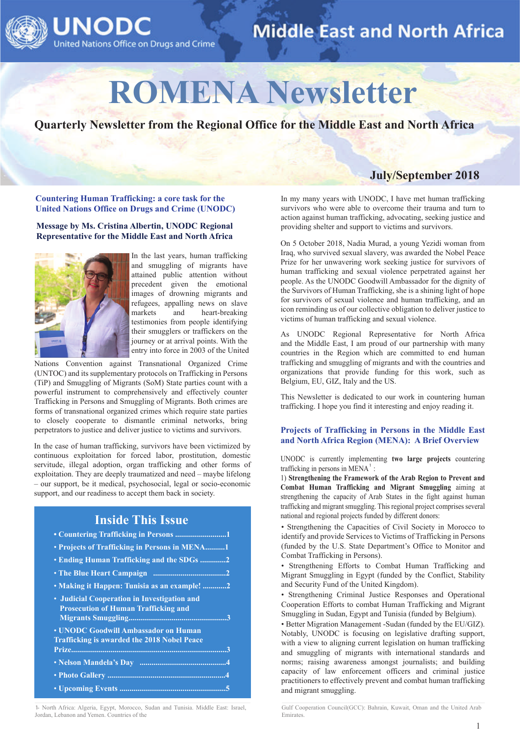

# **ROMENA Newsletter**

**Quarterly Newsletter from the Regional Office for the Middle East and North Africa**

**Countering Human Trafficking: a core task for the United Nations Office on Drugs and Crime (UNODC)**

#### **Message by Ms. Cristina Albertin, UNODC Regional Representative for the Middle East and North Africa**



In the last years, human trafficking and smuggling of migrants have attained public attention without precedent given the emotional images of drowning migrants and refugees, appalling news on slave<br>markets and heart-breaking  $\epsilon$  and heart-breaking testimonies from people identifying their smugglers or traffickers on the journey or at arrival points. With the entry into force in 2003 of the United

Nations Convention against Transnational Organized Crime (UNTOC) and its supplementary protocols on Trafficking in Persons (TiP) and Smuggling of Migrants (SoM) State parties count with a powerful instrument to comprehensively and effectively counter Trafficking in Persons and Smuggling of Migrants. Both crimes are forms of transnational organized crimes which require state parties to closely cooperate to dismantle criminal networks, bring perpetrators to justice and deliver justice to victims and survivors.

In the case of human trafficking, survivors have been victimized by continuous exploitation for forced labor, prostitution, domestic servitude, illegal adoption, organ trafficking and other forms of exploitation. They are deeply traumatized and need – maybe lifelong – our support, be it medical, psychosocial, legal or socio-economic support, and our readiness to accept them back in society.

## **Inside This Issue**

| • Countering Trafficking in Persons 1                                                      |
|--------------------------------------------------------------------------------------------|
| • Projects of Trafficking in Persons in MENA1                                              |
| • Ending Human Trafficking and the SDGs 2                                                  |
|                                                                                            |
| • Making it Happen: Tunisia as an example! 2                                               |
| • Judicial Cooperation in Investigation and<br><b>Prosecution of Human Trafficking and</b> |
| • UNODC Goodwill Ambassador on Human<br><b>Trafficking is awarded the 2018 Nobel Peace</b> |
|                                                                                            |
|                                                                                            |
|                                                                                            |
|                                                                                            |

1- North Africa: Algeria, Egypt, Morocco, Sudan and Tunisia. Middle East: Israel, Jordan, Lebanon and Yemen. Countries of the

In my many years with UNODC, I have met human trafficking survivors who were able to overcome their trauma and turn to action against human trafficking, advocating, seeking justice and

**July/September 2018**

On 5 October 2018, Nadia Murad, a young Yezidi woman from Iraq, who survived sexual slavery, was awarded the Nobel Peace Prize for her unwavering work seeking justice for survivors of human trafficking and sexual violence perpetrated against her people. As the UNODC Goodwill Ambassador for the dignity of the Survivors of Human Trafficking, she is a shining light of hope for survivors of sexual violence and human trafficking, and an icon reminding us of our collective obligation to deliver justice to victims of human trafficking and sexual violence.

providing shelter and support to victims and survivors.

As UNODC Regional Representative for North Africa and the Middle East, I am proud of our partnership with many countries in the Region which are committed to end human trafficking and smuggling of migrants and with the countries and organizations that provide funding for this work, such as Belgium, EU, GIZ, Italy and the US.

This Newsletter is dedicated to our work in countering human trafficking. I hope you find it interesting and enjoy reading it.

#### **Projects of Trafficking in Persons in the Middle East and North Africa Region (MENA): A Brief Overview**

UNODC is currently implementing **two large projects** countering trafficking in persons in  $MENA<sup>1</sup>$ :

1) **Strengthening the Framework of the Arab Region to Prevent and Combat Human Trafficking and Migrant Smuggling** aiming at strengthening the capacity of Arab States in the fight against human trafficking and migrant smuggling. This regional project comprises several national and regional projects funded by different donors:

• Strengthening the Capacities of Civil Society in Morocco to identify and provide Services to Victims of Trafficking in Persons (funded by the U.S. State Department's Office to Monitor and Combat Trafficking in Persons).

• Strengthening Efforts to Combat Human Trafficking and Migrant Smuggling in Egypt (funded by the Conflict, Stability and Security Fund of the United Kingdom).

• Strengthening Criminal Justice Responses and Operational Cooperation Efforts to combat Human Trafficking and Migrant Smuggling in Sudan, Egypt and Tunisia (funded by Belgium).

• Better Migration Management -Sudan (funded by the EU/GIZ). Notably, UNODC is focusing on legislative drafting support, with a view to aligning current legislation on human trafficking and smuggling of migrants with international standards and norms; raising awareness amongst journalists; and building capacity of law enforcement officers and criminal justice practitioners to effectively prevent and combat human trafficking and migrant smuggling.

Gulf Cooperation Council(GCC): Bahrain, Kuwait, Oman and the United Arab Emirates.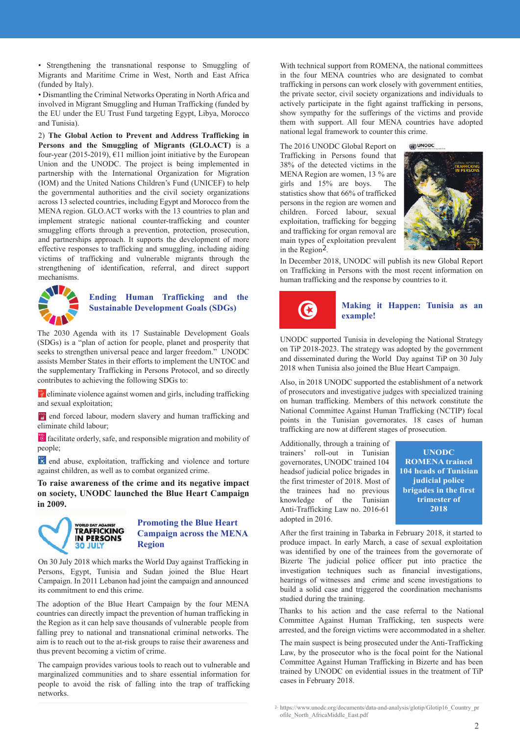• Strengthening the transnational response to Smuggling of Migrants and Maritime Crime in West, North and East Africa (funded by Italy).

• Dismantling the Criminal Networks Operating in North Africa and involved in Migrant Smuggling and Human Trafficking (funded by the EU under the EU Trust Fund targeting Egypt, Libya, Morocco and Tunisia).

2) **The Global Action to Prevent and Address Trafficking in Persons and the Smuggling of Migrants (GLO.ACT)** is a four-year (2015-2019),  $E11$  million joint initiative by the European Union and the UNODC. The project is being implemented in partnership with the International Organization for Migration (IOM) and the United Nations Children's Fund (UNICEF) to help the governmental authorities and the civil society organizations across 13 selected countries, including Egypt and Morocco from the MENA region. GLO.ACT works with the 13 countries to plan and implement strategic national counter-trafficking and counter smuggling efforts through a prevention, protection, prosecution, and partnerships approach. It supports the development of more effective responses to trafficking and smuggling, including aiding victims of trafficking and vulnerable migrants through the strengthening of identification, referral, and direct support mechanisms.



#### **Ending Human Trafficking and the Sustainable Development Goals (SDGs)**

The 2030 Agenda with its 17 Sustainable Development Goals (SDGs) is a "plan of action for people, planet and prosperity that seeks to strengthen universal peace and larger freedom." UNODC assists Member States in their efforts to implement the UNTOC and the supplementary Trafficking in Persons Protocol, and so directly contributes to achieving the following SDGs to:

 $\bullet$  eliminate violence against women and girls, including trafficking and sexual exploitation;

**For** end forced labour, modern slavery and human trafficking and eliminate child labour;

 facilitate orderly, safe, and responsible migration and mobility of people;

**E** end abuse, exploitation, trafficking and violence and torture against children, as well as to combat organized crime.

**To raise awareness of the crime and its negative impact on society, UNODC launched the Blue Heart Campaign in 2009.**



#### **Promoting the Blue Heart Campaign across the MENA Region**

On 30 July 2018 which marks the World Day against Trafficking in Persons, Egypt, Tunisia and Sudan joined the Blue Heart Campaign. In 2011 Lebanon had joint the campaign and announced its commitment to end this crime.

The adoption of the Blue Heart Campaign by the four MENA countries can directly impact the prevention of human trafficking in the Region as it can help save thousands of vulnerable people from falling prey to national and transnational criminal networks. The aim is to reach out to the at-risk groups to raise their awareness and thus prevent becoming a victim of crime.

The campaign provides various tools to reach out to vulnerable and marginalized communities and to share essential information for people to avoid the risk of falling into the trap of trafficking networks.

With technical support from ROMENA, the national committees in the four MENA countries who are designated to combat trafficking in persons can work closely with government entities, the private sector, civil society organizations and individuals to actively participate in the fight against trafficking in persons, show sympathy for the sufferings of the victims and provide them with support. All four MENA countries have adopted national legal framework to counter this crime.

The 2016 UNODC Global Report on

Trafficking in Persons found that 38% of the detected victims in the MENA Region are women, 13 % are girls and 15% are boys. The statistics show that 66% of trafficked persons in the region are women and children. Forced labour, sexual exploitation, trafficking for begging and trafficking for organ removal are main types of exploitation prevalent in the  $\text{Region}^2$ .



In December 2018, UNODC will publish its new Global Report on Trafficking in Persons with the most recent information on human trafficking and the response by countries to it.



#### **Making it Happen: Tunisia as an example!**

UNODC supported Tunisia in developing the National Strategy on TiP 2018-2023. The strategy was adopted by the government and disseminated during the World Day against TiP on 30 July 2018 when Tunisia also joined the Blue Heart Campaign.

Also, in 2018 UNODC supported the establishment of a network of prosecutors and investigative judges with specialized training on human trafficking. Members of this network constitute the National Committee Against Human Trafficking (NCTIP) focal points in the Tunisian governorates. 18 cases of human trafficking are now at different stages of prosecution.

Additionally, through a training of trainers' roll-out in Tunisian governorates, UNODC trained 104 headsof judicial police brigades in the first trimester of 2018. Most of the trainees had no previous knowledge of the Tunisian Anti-Trafficking Law no. 2016-61 adopted in 2016.

**UNODC ROMENA trained 104 heads of Tunisian judicial police brigades in the first trimester of 2018**

After the first training in Tabarka in February 2018, it started to produce impact. In early March, a case of sexual exploitation was identified by one of the trainees from the governorate of Bizerte The judicial police officer put into practice the investigation techniques such as financial investigations, hearings of witnesses and crime and scene investigations to build a solid case and triggered the coordination mechanisms studied during the training.

Thanks to his action and the case referral to the National Committee Against Human Trafficking, ten suspects were arrested, and the foreign victims were accommodated in a shelter.

The main suspect is being prosecuted under the Anti-Trafficking Law, by the prosecutor who is the focal point for the National Committee Against Human Trafficking in Bizerte and has been trained by UNODC on evidential issues in the treatment of TiP cases in February 2018.

https://www.unodc.org/documents/data-and-analysis/glotip/Glotip16\_Country\_pr 2ofile\_North\_AfricaMiddle\_East.pdf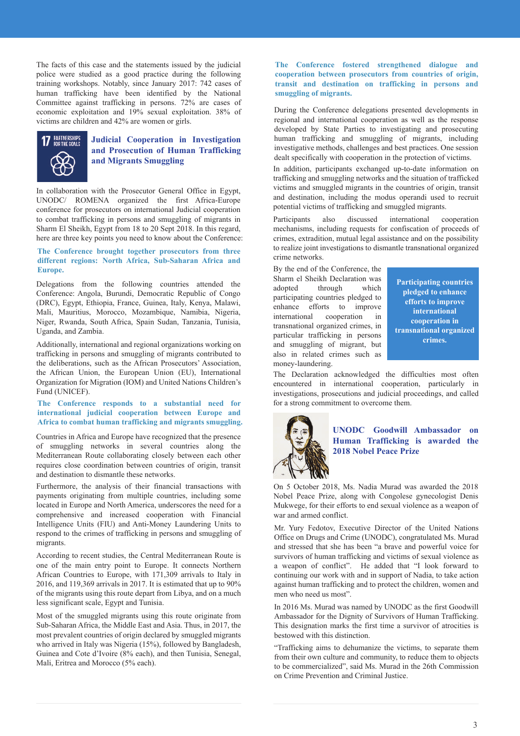The facts of this case and the statements issued by the judicial police were studied as a good practice during the following training workshops. Notably, since January 2017: 742 cases of human trafficking have been identified by the National Committee against trafficking in persons. 72% are cases of economic exploitation and 19% sexual exploitation. 38% of victims are children and 42% are women or girls.



#### **Judicial Cooperation in Investigation and Prosecution of Human Trafficking and Migrants Smuggling**

In collaboration with the Prosecutor General Office in Egypt, UNODC/ ROMENA organized the first Africa-Europe conference for prosecutors on international Judicial cooperation to combat trafficking in persons and smuggling of migrants in Sharm El Sheikh, Egypt from 18 to 20 Sept 2018. In this regard, here are three key points you need to know about the Conference:

#### **The Conference brought together prosecutors from three different regions: North Africa, Sub-Saharan Africa and Europe.**

Delegations from the following countries attended the Conference: Angola, Burundi, Democratic Republic of Congo (DRC), Egypt, Ethiopia, France, Guinea, Italy, Kenya, Malawi, Mali, Mauritius, Morocco, Mozambique, Namibia, Nigeria, Niger, Rwanda, South Africa, Spain Sudan, Tanzania, Tunisia, Uganda, and Zambia.

Additionally, international and regional organizations working on trafficking in persons and smuggling of migrants contributed to the deliberations, such as the African Prosecutors' Association, the African Union, the European Union (EU), International Organization for Migration (IOM) and United Nations Children's Fund (UNICEF).

#### **The Conference responds to a substantial need for international judicial cooperation between Europe and Africa to combat human trafficking and migrants smuggling.**

Countries in Africa and Europe have recognized that the presence of smuggling networks in several countries along the Mediterranean Route collaborating closely between each other requires close coordination between countries of origin, transit and destination to dismantle these networks.

Furthermore, the analysis of their financial transactions with payments originating from multiple countries, including some located in Europe and North America, underscores the need for a comprehensive and increased cooperation with Financial Intelligence Units (FIU) and Anti-Money Laundering Units to respond to the crimes of trafficking in persons and smuggling of migrants.

According to recent studies, the Central Mediterranean Route is one of the main entry point to Europe. It connects Northern African Countries to Europe, with 171,309 arrivals to Italy in 2016, and 119,369 arrivals in 2017. It is estimated that up to 90% of the migrants using this route depart from Libya, and on a much less significant scale, Egypt and Tunisia.

Most of the smuggled migrants using this route originate from Sub-Saharan Africa, the Middle East and Asia. Thus, in 2017, the most prevalent countries of origin declared by smuggled migrants who arrived in Italy was Nigeria (15%), followed by Bangladesh, Guinea and Cote d'Ivoire (8% each), and then Tunisia, Senegal, Mali, Eritrea and Morocco (5% each).

#### **The Conference fostered strengthened dialogue and cooperation between prosecutors from countries of origin, transit and destination on trafficking in persons and smuggling of migrants.**

During the Conference delegations presented developments in regional and international cooperation as well as the response developed by State Parties to investigating and prosecuting human trafficking and smuggling of migrants, including investigative methods, challenges and best practices. One session dealt specifically with cooperation in the protection of victims.

In addition, participants exchanged up-to-date information on trafficking and smuggling networks and the situation of trafficked victims and smuggled migrants in the countries of origin, transit and destination, including the modus operandi used to recruit potential victims of trafficking and smuggled migrants.

Participants also discussed international cooperation mechanisms, including requests for confiscation of proceeds of crimes, extradition, mutual legal assistance and on the possibility to realize joint investigations to dismantle transnational organized crime networks.

By the end of the Conference, the Sharm el Sheikh Declaration was adopted through which participating countries pledged to enhance efforts to improve international cooperation in transnational organized crimes, in particular trafficking in persons and smuggling of migrant, but also in related crimes such as money-laundering.

**Participating countries pledged to enhance efforts to improve international cooperation in transnational organized crimes.**

The Declaration acknowledged the difficulties most often encountered in international cooperation, particularly in investigations, prosecutions and judicial proceedings, and called for a strong commitment to overcome them.



#### **UNODC Goodwill Ambassador on Human Trafficking is awarded the 2018 Nobel Peace Prize**

On 5 October 2018, Ms. Nadia Murad was awarded the 2018 Nobel Peace Prize, along with Congolese gynecologist Denis Mukwege, for their efforts to end sexual violence as a weapon of war and armed conflict.

Mr. Yury Fedotov, Executive Director of the United Nations Office on Drugs and Crime (UNODC), congratulated Ms. Murad and stressed that she has been "a brave and powerful voice for survivors of human trafficking and victims of sexual violence as a weapon of conflict". He added that "I look forward to continuing our work with and in support of Nadia, to take action against human trafficking and to protect the children, women and men who need us most".

In 2016 Ms. Murad was named by UNODC as the first Goodwill Ambassador for the Dignity of Survivors of Human Trafficking. This designation marks the first time a survivor of atrocities is bestowed with this distinction.

"Trafficking aims to dehumanize the victims, to separate them from their own culture and community, to reduce them to objects to be commercialized", said Ms. Murad in the 26th Commission on Crime Prevention and Criminal Justice.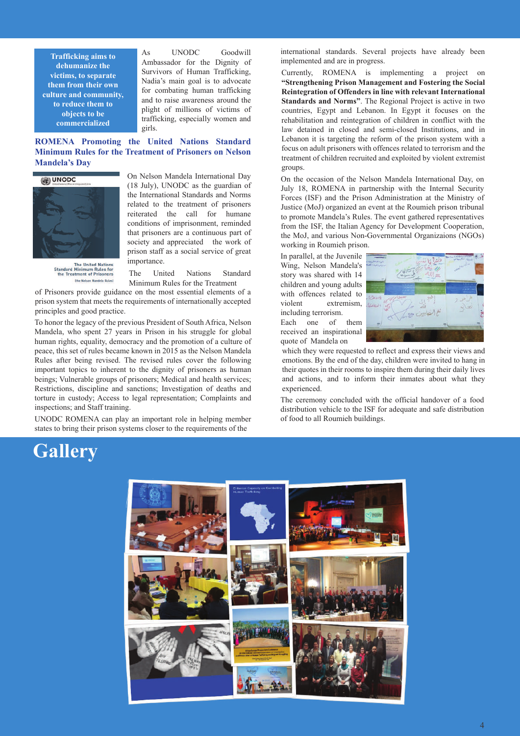**Trafficking aims to dehumanize the victims, to separate them from their own culture and community, to reduce them to objects to be commercialized**

As UNODC Goodwill Ambassador for the Dignity of Survivors of Human Trafficking, Nadia's main goal is to advocate for combating human trafficking and to raise awareness around the plight of millions of victims of trafficking, especially women and girls.

**ROMENA Promoting the United Nations Standard Minimum Rules for the Treatment of Prisoners on Nelson Mandela's Day** 



(18 July), UNODC as the guardian of the International Standards and Norms related to the treatment of prisoners reiterated the call for humane conditions of imprisonment, reminded that prisoners are a continuous part of society and appreciated the work of prison staff as a social service of great importance.

On Nelson Mandela International Day

The United Nations<br>Standard Minimum Rules for<br>the Treatment of Prisoners the Nelson Mandela Rules

The United Nations Standard Minimum Rules for the Treatment

of Prisoners provide guidance on the most essential elements of a prison system that meets the requirements of internationally accepted principles and good practice.

To honor the legacy of the previous President of South Africa, Nelson Mandela, who spent 27 years in Prison in his struggle for global human rights, equality, democracy and the promotion of a culture of peace, this set of rules became known in 2015 as the Nelson Mandela Rules after being revised. The revised rules cover the following important topics to inherent to the dignity of prisoners as human beings; Vulnerable groups of prisoners; Medical and health services; Restrictions, discipline and sanctions; Investigation of deaths and torture in custody; Access to legal representation; Complaints and inspections; and Staff training.

UNODC ROMENA can play an important role in helping member states to bring their prison systems closer to the requirements of the

international standards. Several projects have already been implemented and are in progress.

Currently, ROMENA is implementing a project on **"Strengthening Prison Management and Fostering the Social Reintegration of Offenders in line with relevant International Standards and Norms"**. The Regional Project is active in two countries, Egypt and Lebanon. In Egypt it focuses on the rehabilitation and reintegration of children in conflict with the law detained in closed and semi-closed Institutions, and in Lebanon it is targeting the reform of the prison system with a focus on adult prisoners with offences related to terrorism and the treatment of children recruited and exploited by violent extremist groups.

On the occasion of the Nelson Mandela International Day, on July 18, ROMENA in partnership with the Internal Security Forces (ISF) and the Prison Administration at the Ministry of Justice (MoJ) organized an event at the Roumieh prison tribunal to promote Mandela's Rules. The event gathered representatives from the ISF, the Italian Agency for Development Cooperation, the MoJ, and various Non-Governmental Organizaions (NGOs) working in Roumieh prison.

In parallel, at the Juvenile Wing, Nelson Mandela's story was shared with 14 children and young adults with offences related to violent extremism, including terrorism. Each one of them

received an inspirational quote of Mandela on



which they were requested to reflect and express their views and emotions. By the end of the day, children were invited to hang in their quotes in their rooms to inspire them during their daily lives and actions, and to inform their inmates about what they experienced.

The ceremony concluded with the official handover of a food distribution vehicle to the ISF for adequate and safe distribution of food to all Roumieh buildings.

## **Gallery**